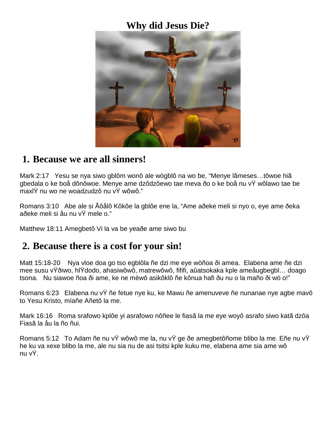### **Why did Jesus Die?**



#### **1. Because we are all sinners!**

Mark 2:17 Yesu se nya siwo gblôm wonô ale wògblô na wo be, "Menye lãmeses…tôwoe hiã gbedala o ke boå dônôwoe. Menye ame dzôdzôewo tae meva ðo o ke boå nu vŸ wôlawo tae be maxlŸ nu wo ne woadzudzô nu vŸ wôwô."

Romans 3:10 Abe ale si Åôålô Kôkôe la gblôe ene la, "Ame aðeke meli si nyo o, eye ame ðeka aðeke meli si åu nu vŸ mele o."

Matthew 18:11 Amegbetô Vi la va be yeaðe ame siwo bu

#### **2. Because there is a cost for your sin!**

Matt 15:18-20 Nya vloe doa go tso egblôla ñe dzi me eye wòñoa ði amea. Elabena ame ñe dzi mee susu vŸðiwo, hlŸdodo, ahasiwôwô, matrewôwô, fififi, aûatsokaka kple ameåugbegbl… doago tsona. Nu siawoe ñoa ði ame, ke ne mèwô asikôklô ñe kônua hafi ðu nu o la maño ði wò o!"

Romans 6:23 Elabena nu vŸ ñe fetue nye ku, ke Mawu ñe amenuveve ñe nunanae nye agbe mavô to Yesu Kristo, míañe Añetô la me.

Mark 16:16 Roma srafowo kplôe yi asrafowo nôñee le fiasã la me eye woyô asrafo siwo katã dzôa Fiasã la åu la ño ñui.

Romans 5:12 To Adam ñe nu vŸ wôwô me la, nu vŸ ge ðe amegbetôñome blibo la me. Eñe nu vŸ he ku va xexe blibo la me, ale nu sia nu de asi tsitsi kple kuku me, elabena ame sia ame wô nu vŸ.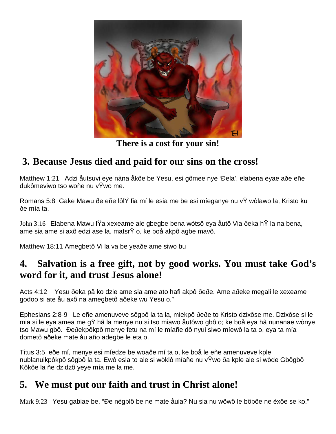

**There is a cost for your sin!**

# **3. Because Jesus died and paid for our sins on the cross!**

Matthew 1:21 Adzi åutsuvi eye nàna åkôe be Yesu, esi gômee nye 'Ðela', elabena eyae aðe eñe dukômeviwo tso woñe nu vŸwo me.

Romans 5:8 Gake Mawu ðe eñe lôlŸ fia mí le esia me be esi míeganye nu vŸ wôlawo la, Kristo ku ðe mía ta.

John 3:16 Elabena Mawu lŸa xexeame ale gbegbe bena wòtsô eya åutô Via ðeka hŸ la na bena, ame sia ame si axô edzi ase la, matsrŸ o, ke boå akpô agbe mavô.

Matthew 18:11 Amegbetô Vi la va be yeaðe ame siwo bu

# **4. Salvation is a free gift, not by good works. You must take God's word for it, and trust Jesus alone!**

Acts 4:12 Yesu ðeka pâ ko dzie ame sia ame ato hafi akpô ðeðe. Ame aðeke megali le xexeame godoo si ate åu axô na amegbetô aðeke wu Yesu o."

Ephesians 2:8-9 Le eñe amenuveve sôgbô la ta la, miekpô ðeðe to Kristo dzixôse me. Dzixôse si le mia si le eya amea me gŸ hã la menye nu si tso miawo åutôwo gbô o; ke boå eya hã nunanae wònye tso Mawu gbô. Ðeðekpôkpô menye fetu na mí le míañe dô nyui siwo míewô la ta o, eya ta mía dometô aðeke mate åu año adegbe le eta o.

Titus 3:5 eðe mí, menye esi míedze be woaðe mí ta o, ke boå le eñe amenuveve kple nublanuikpôkpô sôgbô la ta. Ewô esia to ale si wòklô míañe nu vŸwo ða kple ale si wòde Gbôgbô Kôkôe la ñe dzidzô yeye mía me la me.

# **5. We must put our faith and trust in Christ alone!**

Mark 9:23 Yesu gabiae be, "Ðe nègblô be ne mate åuia? Nu sia nu wôwô le bôbôe ne èxôe se ko."